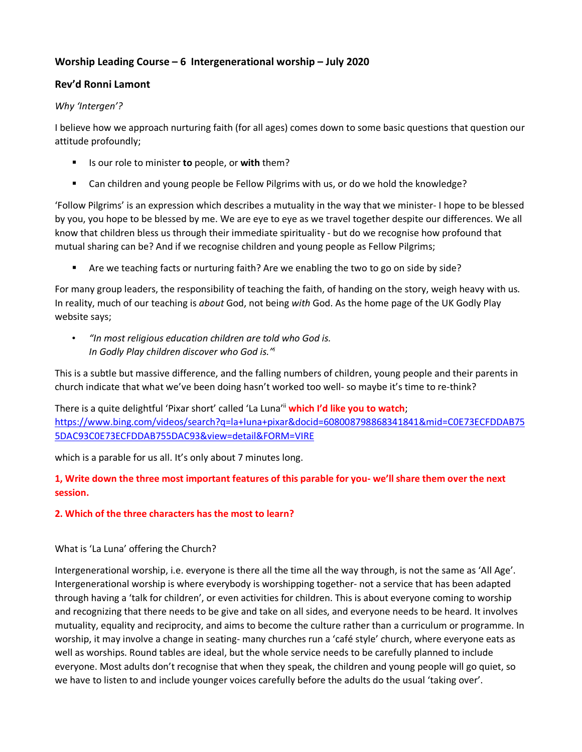# **Worship Leading Course – 6 Intergenerational worship – July 2020**

## **Rev'd Ronni Lamont**

#### *Why 'Intergen'?*

I believe how we approach nurturing faith (for all ages) comes down to some basic questions that question our attitude profoundly;

- § Is our role to minister **to** people, or **with** them?
- Can children and young people be Fellow Pilgrims with us, or do we hold the knowledge?

'Follow Pilgrims' is an expression which describes a mutuality in the way that we minister- I hope to be blessed by you, you hope to be blessed by me. We are eye to eye as we travel together despite our differences. We all know that children bless us through their immediate spirituality - but do we recognise how profound that mutual sharing can be? And if we recognise children and young people as Fellow Pilgrims;

■ Are we teaching facts or nurturing faith? Are we enabling the two to go on side by side?

For many group leaders, the responsibility of teaching the faith, of handing on the story, weigh heavy with us. In reality, much of our teaching is *about* God, not being *with* God. As the home page of the UK Godly Play website says;

• *"In most religious education children are told who God is. In Godly Play children discover who God is."i*

This is a subtle but massive difference, and the falling numbers of children, young people and their parents in church indicate that what we've been doing hasn't worked too well- so maybe it's time to re-think?

There is a quite delightful 'Pixar short' called 'La Luna'ii **which I'd like you to watch**; https://www.bing.com/videos/search?q=la+luna+pixar&docid=608008798868341841&mid=C0E73ECFDDAB75 5DAC93C0E73ECFDDAB755DAC93&view=detail&FORM=VIRE

which is a parable for us all. It's only about 7 minutes long.

## **1, Write down the three most important features of this parable for you- we'll share them over the next session.**

### **2. Which of the three characters has the most to learn?**

### What is 'La Luna' offering the Church?

Intergenerational worship, i.e. everyone is there all the time all the way through, is not the same as 'All Age'. Intergenerational worship is where everybody is worshipping together- not a service that has been adapted through having a 'talk for children', or even activities for children. This is about everyone coming to worship and recognizing that there needs to be give and take on all sides, and everyone needs to be heard. It involves mutuality, equality and reciprocity, and aims to become the culture rather than a curriculum or programme. In worship, it may involve a change in seating- many churches run a 'café style' church, where everyone eats as well as worships. Round tables are ideal, but the whole service needs to be carefully planned to include everyone. Most adults don't recognise that when they speak, the children and young people will go quiet, so we have to listen to and include younger voices carefully before the adults do the usual 'taking over'.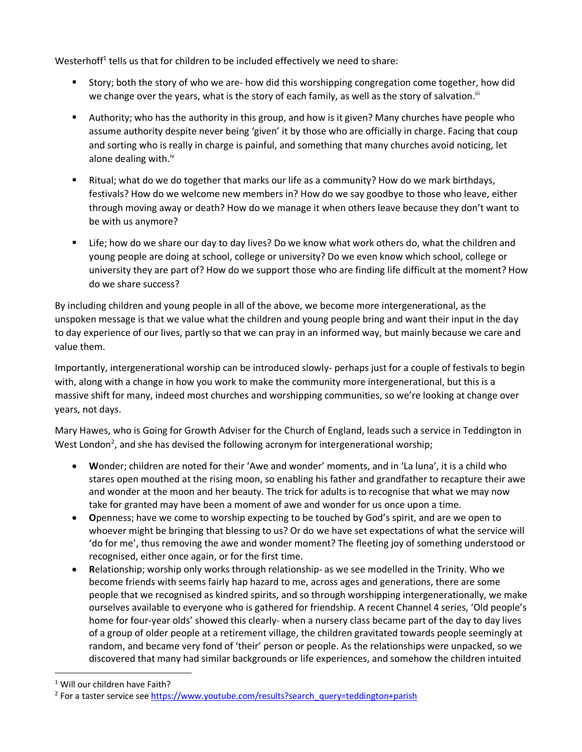Westerhoff $1$  tells us that for children to be included effectively we need to share:

- Story; both the story of who we are- how did this worshipping congregation come together, how did we change over the years, what is the story of each family, as well as the story of salvation.<sup>iii</sup>
- Authority; who has the authority in this group, and how is it given? Many churches have people who assume authority despite never being 'given' it by those who are officially in charge. Facing that coup and sorting who is really in charge is painful, and something that many churches avoid noticing, let alone dealing with. $\frac{iv}{i}$
- Ritual; what do we do together that marks our life as a community? How do we mark birthdays, festivals? How do we welcome new members in? How do we say goodbye to those who leave, either through moving away or death? How do we manage it when others leave because they don't want to be with us anymore?
- Life; how do we share our day to day lives? Do we know what work others do, what the children and young people are doing at school, college or university? Do we even know which school, college or university they are part of? How do we support those who are finding life difficult at the moment? How do we share success?

By including children and young people in all of the above, we become more intergenerational, as the unspoken message is that we value what the children and young people bring and want their input in the day to day experience of our lives, partly so that we can pray in an informed way, but mainly because we care and value them.

Importantly, intergenerational worship can be introduced slowly- perhaps just for a couple of festivals to begin with, along with a change in how you work to make the community more intergenerational, but this is a massive shift for many, indeed most churches and worshipping communities, so we're looking at change over years, not days.

Mary Hawes, who is Going for Growth Adviser for the Church of England, leads such a service in Teddington in West London<sup>2</sup>, and she has devised the following acronym for intergenerational worship;

- **W**onder; children are noted for their 'Awe and wonder' moments, and in 'La luna', it is a child who stares open mouthed at the rising moon, so enabling his father and grandfather to recapture their awe and wonder at the moon and her beauty. The trick for adults is to recognise that what we may now take for granted may have been a moment of awe and wonder for us once upon a time.
- **O**penness; have we come to worship expecting to be touched by God's spirit, and are we open to whoever might be bringing that blessing to us? Or do we have set expectations of what the service will 'do for me', thus removing the awe and wonder moment? The fleeting joy of something understood or recognised, either once again, or for the first time.
- **R**elationship; worship only works through relationship- as we see modelled in the Trinity. Who we become friends with seems fairly hap hazard to me, across ages and generations, there are some people that we recognised as kindred spirits, and so through worshipping intergenerationally, we make ourselves available to everyone who is gathered for friendship. A recent Channel 4 series, 'Old people's home for four-year olds' showed this clearly- when a nursery class became part of the day to day lives of a group of older people at a retirement village, the children gravitated towards people seemingly at random, and became very fond of 'their' person or people. As the relationships were unpacked, so we discovered that many had similar backgrounds or life experiences, and somehow the children intuited

<sup>&</sup>lt;sup>1</sup> Will our children have Faith?

<sup>&</sup>lt;sup>2</sup> For a taster service see https://www.youtube.com/results?search\_query=teddington+parish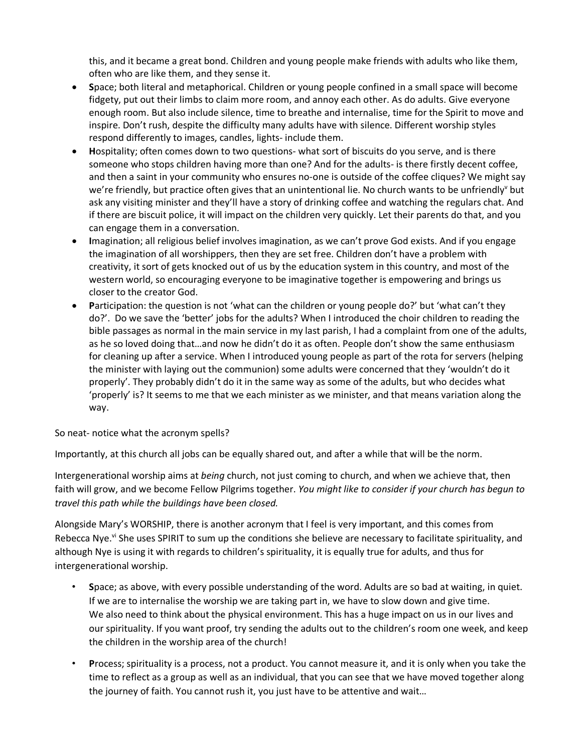this, and it became a great bond. Children and young people make friends with adults who like them, often who are like them, and they sense it.

- **S**pace; both literal and metaphorical. Children or young people confined in a small space will become fidgety, put out their limbs to claim more room, and annoy each other. As do adults. Give everyone enough room. But also include silence, time to breathe and internalise, time for the Spirit to move and inspire. Don't rush, despite the difficulty many adults have with silence. Different worship styles respond differently to images, candles, lights- include them.
- **H**ospitality; often comes down to two questions- what sort of biscuits do you serve, and is there someone who stops children having more than one? And for the adults- is there firstly decent coffee, and then a saint in your community who ensures no-one is outside of the coffee cliques? We might say we're friendly, but practice often gives that an unintentional lie. No church wants to be unfriendly<sup>y</sup> but ask any visiting minister and they'll have a story of drinking coffee and watching the regulars chat. And if there are biscuit police, it will impact on the children very quickly. Let their parents do that, and you can engage them in a conversation.
- **I**magination; all religious belief involves imagination, as we can't prove God exists. And if you engage the imagination of all worshippers, then they are set free. Children don't have a problem with creativity, it sort of gets knocked out of us by the education system in this country, and most of the western world, so encouraging everyone to be imaginative together is empowering and brings us closer to the creator God.
- Participation: the question is not 'what can the children or young people do?' but 'what can't they do?'. Do we save the 'better' jobs for the adults? When I introduced the choir children to reading the bible passages as normal in the main service in my last parish, I had a complaint from one of the adults, as he so loved doing that…and now he didn't do it as often. People don't show the same enthusiasm for cleaning up after a service. When I introduced young people as part of the rota for servers (helping the minister with laying out the communion) some adults were concerned that they 'wouldn't do it properly'. They probably didn't do it in the same way as some of the adults, but who decides what 'properly' is? It seems to me that we each minister as we minister, and that means variation along the way.

So neat- notice what the acronym spells?

Importantly, at this church all jobs can be equally shared out, and after a while that will be the norm.

Intergenerational worship aims at *being* church, not just coming to church, and when we achieve that, then faith will grow, and we become Fellow Pilgrims together. *You might like to consider if your church has begun to travel this path while the buildings have been closed.*

Alongside Mary's WORSHIP, there is another acronym that I feel is very important, and this comes from Rebecca Nye.<sup>vi</sup> She uses SPIRIT to sum up the conditions she believe are necessary to facilitate spirituality, and although Nye is using it with regards to children's spirituality, it is equally true for adults, and thus for intergenerational worship.

- **S**pace; as above, with every possible understanding of the word. Adults are so bad at waiting, in quiet. If we are to internalise the worship we are taking part in, we have to slow down and give time. We also need to think about the physical environment. This has a huge impact on us in our lives and our spirituality. If you want proof, try sending the adults out to the children's room one week, and keep the children in the worship area of the church!
- **P**rocess; spirituality is a process, not a product. You cannot measure it, and it is only when you take the time to reflect as a group as well as an individual, that you can see that we have moved together along the journey of faith. You cannot rush it, you just have to be attentive and wait…